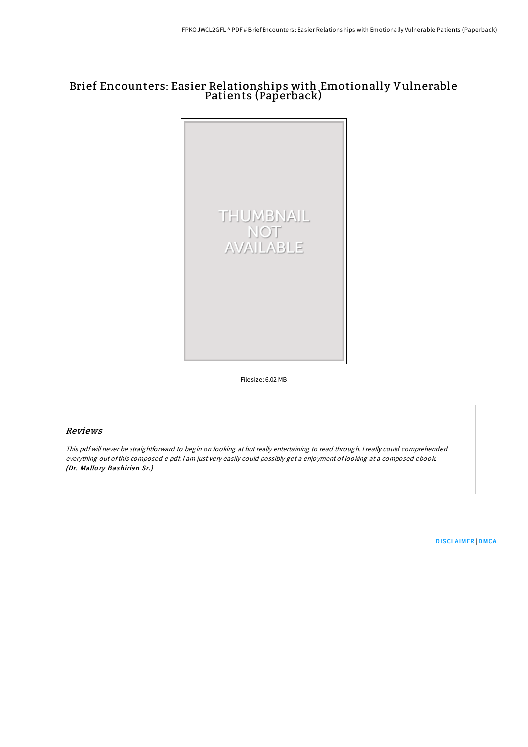# Brief Encounters: Easier Relationships with Emotionally Vulnerable Patients (Paperback)



Filesize: 6.02 MB

# Reviews

This pdf will never be straightforward to begin on looking at but really entertaining to read through. <sup>I</sup> really could comprehended everything out ofthis composed <sup>e</sup> pdf. <sup>I</sup> am just very easily could possibly get <sup>a</sup> enjoyment of looking at <sup>a</sup> composed ebook. (Dr. Mallo ry Bashirian Sr.)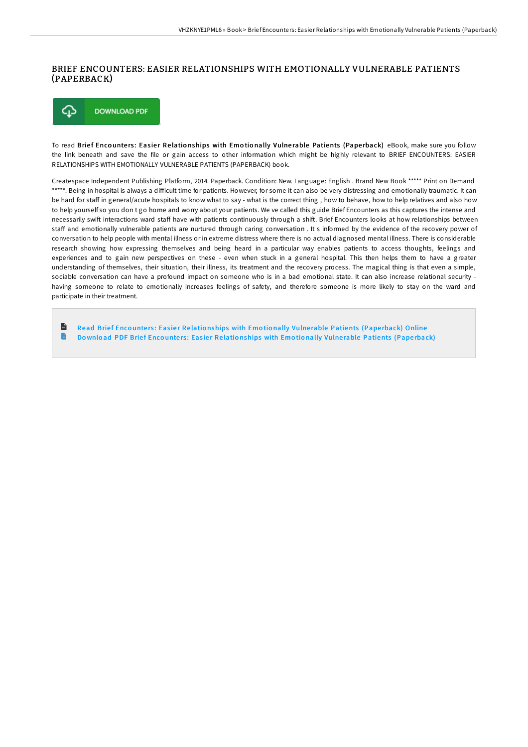## BRIEF ENCOUNTERS: EASIER RELATIONSHIPS WITH EMOTIONALLY VULNERABLE PATIENTS (PAPERBACK)



To read Brief Encounters: Easier Relationships with Emotionally Vulnerable Patients (Paperback) eBook, make sure you follow the link beneath and save the file or gain access to other information which might be highly relevant to BRIEF ENCOUNTERS: EASIER RELATIONSHIPS WITH EMOTIONALLY VULNERABLE PATIENTS (PAPERBACK) book.

Createspace Independent Publishing Platform, 2014. Paperback. Condition: New. Language: English . Brand New Book \*\*\*\*\* Print on Demand \*\*\*\*\*. Being in hospital is always a difficult time for patients. However, for some it can also be very distressing and emotionally traumatic. It can be hard for staff in general/acute hospitals to know what to say - what is the correct thing, how to behave, how to help relatives and also how to help yourself so you don t go home and worry about your patients. We ve called this guide Brief Encounters as this captures the intense and necessarily swift interactions ward staff have with patients continuously through a shift. Brief Encounters looks at how relationships between staff and emotionally vulnerable patients are nurtured through caring conversation . It s informed by the evidence of the recovery power of conversation to help people with mental illness or in extreme distress where there is no actual diagnosed mental illness. There is considerable research showing how expressing themselves and being heard in a particular way enables patients to access thoughts, feelings and experiences and to gain new perspectives on these - even when stuck in a general hospital. This then helps them to have a greater understanding of themselves, their situation, their illness, its treatment and the recovery process. The magical thing is that even a simple, sociable conversation can have a profound impact on someone who is in a bad emotional state. It can also increase relational security having someone to relate to emotionally increases feelings of safety, and therefore someone is more likely to stay on the ward and participate in their treatment.

 $\mathbb{R}$ Read Brief Encounters: Easier Relationships with Emotionally Vulnerable [Patients](http://almighty24.tech/brief-encounters-easier-relationships-with-emoti.html) (Paperback) Online  $\blacksquare$ Download PDF Brief Encounters: Easier Relationships with Emotionally Vulnerable [Patients](http://almighty24.tech/brief-encounters-easier-relationships-with-emoti.html) (Paperback)